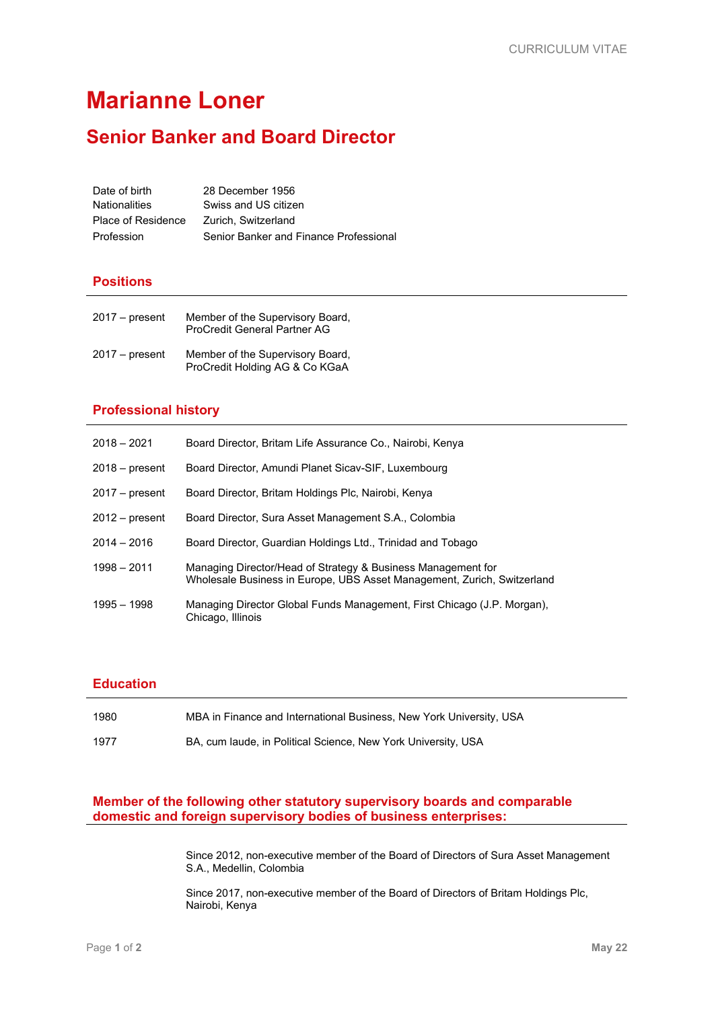# **Marianne Loner**

## **Senior Banker and Board Director**

| Date of birth        | 28 December 1956                       |
|----------------------|----------------------------------------|
| <b>Nationalities</b> | Swiss and US citizen                   |
| Place of Residence   | Zurich, Switzerland                    |
| Profession           | Senior Banker and Finance Professional |

### **Positions**

| $2017 - present$ | Member of the Supervisory Board,<br><b>ProCredit General Partner AG</b> |
|------------------|-------------------------------------------------------------------------|
| $2017 - present$ | Member of the Supervisory Board,<br>ProCredit Holding AG & Co KGaA      |

#### **Professional history**

| $2018 - 2021$    | Board Director, Britam Life Assurance Co., Nairobi, Kenya                                                                               |
|------------------|-----------------------------------------------------------------------------------------------------------------------------------------|
| $2018 - present$ | Board Director, Amundi Planet Sicav-SIF, Luxembourg                                                                                     |
| $2017 - present$ | Board Director, Britam Holdings Plc, Nairobi, Kenya                                                                                     |
| $2012 - present$ | Board Director, Sura Asset Management S.A., Colombia                                                                                    |
| $2014 - 2016$    | Board Director, Guardian Holdings Ltd., Trinidad and Tobago                                                                             |
| $1998 - 2011$    | Managing Director/Head of Strategy & Business Management for<br>Wholesale Business in Europe, UBS Asset Management, Zurich, Switzerland |
| 1995 - 1998      | Managing Director Global Funds Management, First Chicago (J.P. Morgan),<br>Chicago, Illinois                                            |

#### **Education**

| 1980 | MBA in Finance and International Business, New York University, USA |
|------|---------------------------------------------------------------------|
| 1977 | BA, cum laude, in Political Science, New York University, USA       |

#### **Member of the following other statutory supervisory boards and comparable domestic and foreign supervisory bodies of business enterprises:**

Since 2012, non-executive member of the Board of Directors of Sura Asset Management S.A., Medellin, Colombia

Since 2017, non-executive member of the Board of Directors of Britam Holdings Plc, Nairobi, Kenya